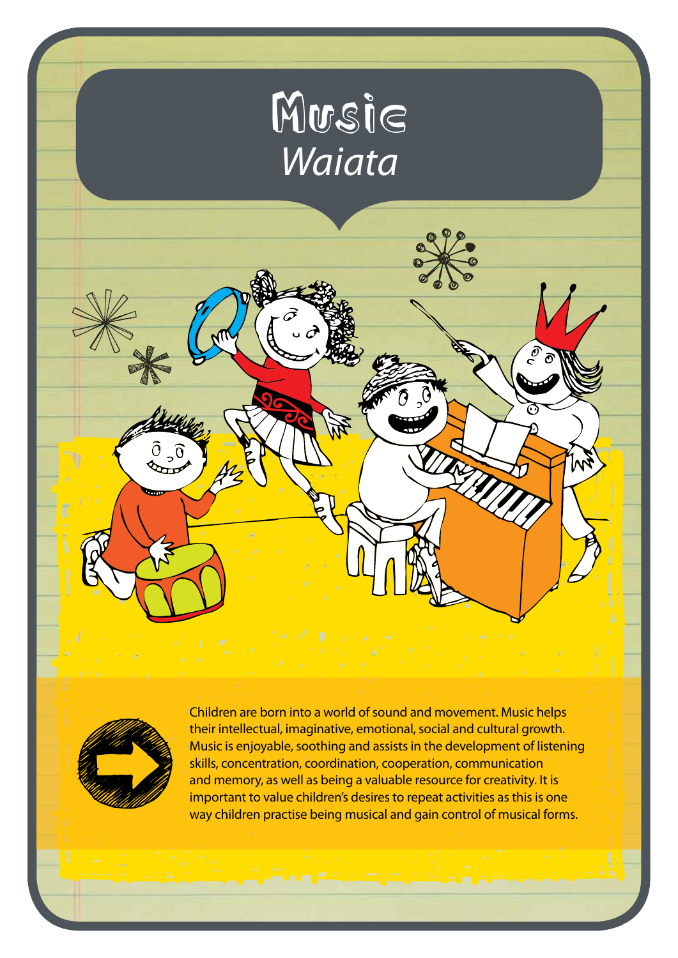# Musie *Waiata*



Children are born into a world of sound and movement. Music helps their intellectual, imaginative, emotional, social and cultural growth. Music is enjoyable, soothing and assists in the development of listening skills, concentration, coordination, cooperation, communication and memory, as well as being a valuable resource for creativity. It is important to value children's desires to repeat activities as this is one way children practise being musical and gain control of musical forms.